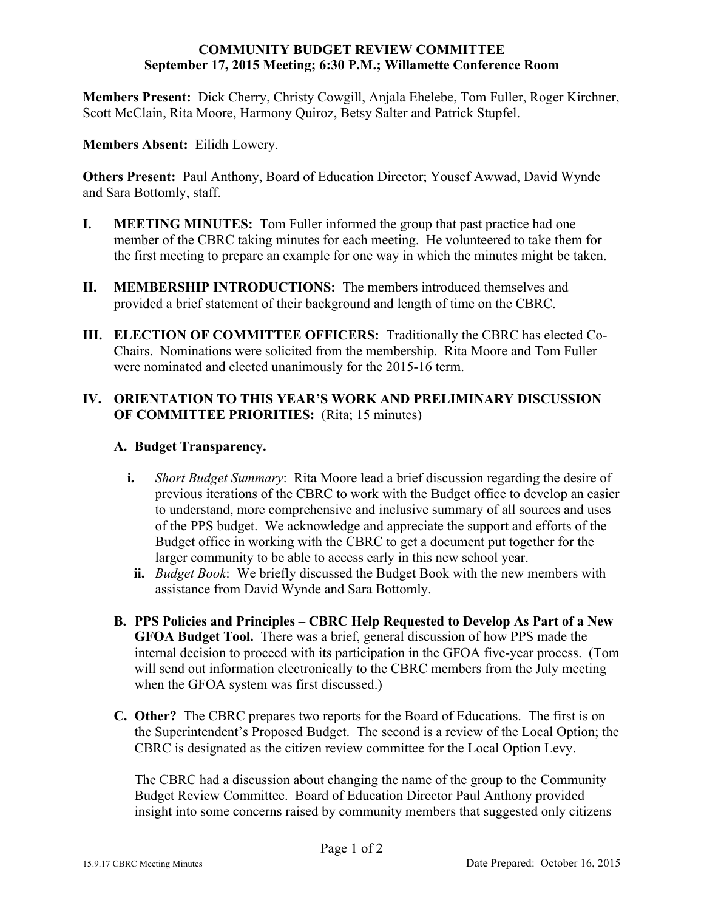#### **COMMUNITY BUDGET REVIEW COMMITTEE September 17, 2015 Meeting; 6:30 P.M.; Willamette Conference Room**

**Members Present:** Dick Cherry, Christy Cowgill, Anjala Ehelebe, Tom Fuller, Roger Kirchner, Scott McClain, Rita Moore, Harmony Quiroz, Betsy Salter and Patrick Stupfel.

**Members Absent:** Eilidh Lowery.

**Others Present:** Paul Anthony, Board of Education Director; Yousef Awwad, David Wynde and Sara Bottomly, staff.

- **I. MEETING MINUTES:** Tom Fuller informed the group that past practice had one member of the CBRC taking minutes for each meeting. He volunteered to take them for the first meeting to prepare an example for one way in which the minutes might be taken.
- **II. MEMBERSHIP INTRODUCTIONS:** The members introduced themselves and provided a brief statement of their background and length of time on the CBRC.
- **III. ELECTION OF COMMITTEE OFFICERS:** Traditionally the CBRC has elected Co-Chairs. Nominations were solicited from the membership. Rita Moore and Tom Fuller were nominated and elected unanimously for the 2015-16 term.

# **IV. ORIENTATION TO THIS YEAR'S WORK AND PRELIMINARY DISCUSSION OF COMMITTEE PRIORITIES:** (Rita; 15 minutes)

## **A. Budget Transparency.**

- **i.** *Short Budget Summary*: Rita Moore lead a brief discussion regarding the desire of previous iterations of the CBRC to work with the Budget office to develop an easier to understand, more comprehensive and inclusive summary of all sources and uses of the PPS budget. We acknowledge and appreciate the support and efforts of the Budget office in working with the CBRC to get a document put together for the larger community to be able to access early in this new school year.
	- **ii.** *Budget Book*: We briefly discussed the Budget Book with the new members with assistance from David Wynde and Sara Bottomly.
- **B. PPS Policies and Principles – CBRC Help Requested to Develop As Part of a New GFOA Budget Tool.** There was a brief, general discussion of how PPS made the internal decision to proceed with its participation in the GFOA five-year process. (Tom will send out information electronically to the CBRC members from the July meeting when the GFOA system was first discussed.)
- **C. Other?** The CBRC prepares two reports for the Board of Educations. The first is on the Superintendent's Proposed Budget. The second is a review of the Local Option; the CBRC is designated as the citizen review committee for the Local Option Levy.

The CBRC had a discussion about changing the name of the group to the Community Budget Review Committee. Board of Education Director Paul Anthony provided insight into some concerns raised by community members that suggested only citizens